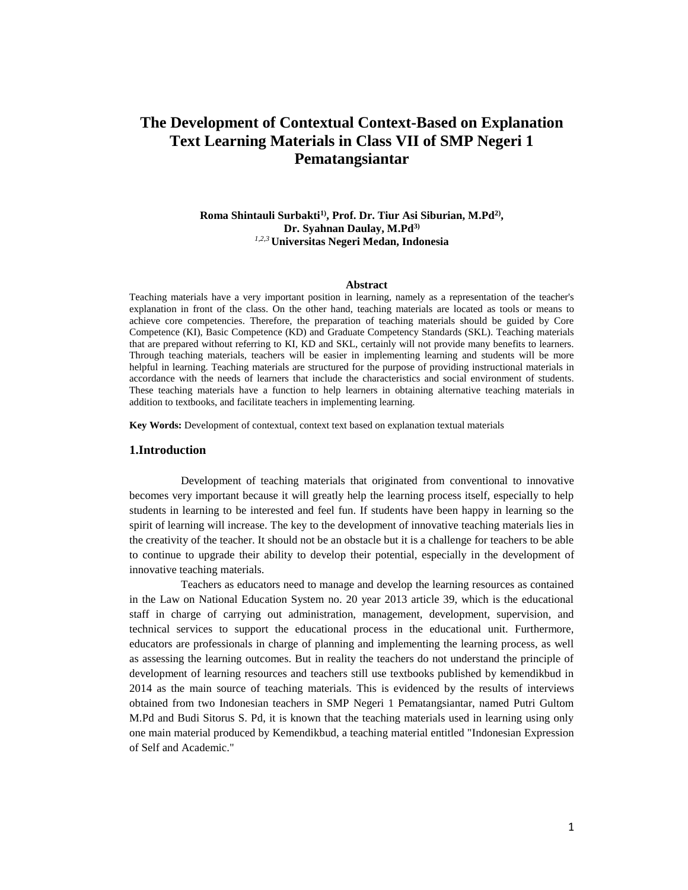# **The Development of Contextual Context-Based on Explanation Text Learning Materials in Class VII of SMP Negeri 1 Pematangsiantar**

# **Roma Shintauli Surbakti1), Prof. Dr. Tiur Asi Siburian, M.Pd2) , Dr. Syahnan Daulay, M.Pd3)** *1,2,3* **Universitas Negeri Medan, Indonesia**

#### **Abstract**

Teaching materials have a very important position in learning, namely as a representation of the teacher's explanation in front of the class. On the other hand, teaching materials are located as tools or means to achieve core competencies. Therefore, the preparation of teaching materials should be guided by Core Competence (KI), Basic Competence (KD) and Graduate Competency Standards (SKL). Teaching materials that are prepared without referring to KI, KD and SKL, certainly will not provide many benefits to learners. Through teaching materials, teachers will be easier in implementing learning and students will be more helpful in learning. Teaching materials are structured for the purpose of providing instructional materials in accordance with the needs of learners that include the characteristics and social environment of students. These teaching materials have a function to help learners in obtaining alternative teaching materials in addition to textbooks, and facilitate teachers in implementing learning.

**Key Words:** Development of contextual, context text based on explanation textual materials

# **1.Introduction**

Development of teaching materials that originated from conventional to innovative becomes very important because it will greatly help the learning process itself, especially to help students in learning to be interested and feel fun. If students have been happy in learning so the spirit of learning will increase. The key to the development of innovative teaching materials lies in the creativity of the teacher. It should not be an obstacle but it is a challenge for teachers to be able to continue to upgrade their ability to develop their potential, especially in the development of innovative teaching materials.

Teachers as educators need to manage and develop the learning resources as contained in the Law on National Education System no. 20 year 2013 article 39, which is the educational staff in charge of carrying out administration, management, development, supervision, and technical services to support the educational process in the educational unit. Furthermore, educators are professionals in charge of planning and implementing the learning process, as well as assessing the learning outcomes. But in reality the teachers do not understand the principle of development of learning resources and teachers still use textbooks published by kemendikbud in 2014 as the main source of teaching materials. This is evidenced by the results of interviews obtained from two Indonesian teachers in SMP Negeri 1 Pematangsiantar, named Putri Gultom M.Pd and Budi Sitorus S. Pd, it is known that the teaching materials used in learning using only one main material produced by Kemendikbud, a teaching material entitled "Indonesian Expression of Self and Academic."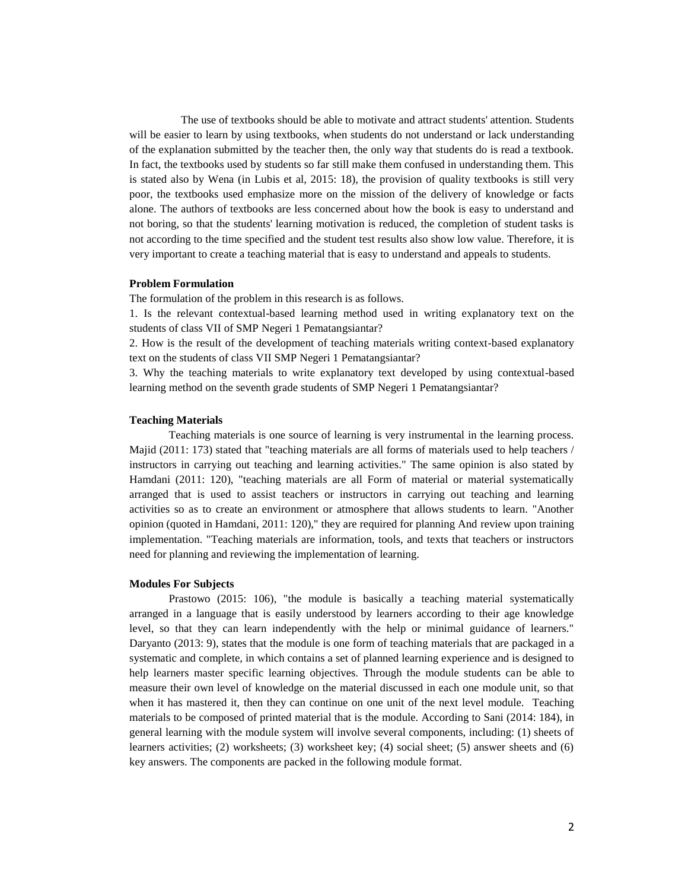The use of textbooks should be able to motivate and attract students' attention. Students will be easier to learn by using textbooks, when students do not understand or lack understanding of the explanation submitted by the teacher then, the only way that students do is read a textbook. In fact, the textbooks used by students so far still make them confused in understanding them. This is stated also by Wena (in Lubis et al, 2015: 18), the provision of quality textbooks is still very poor, the textbooks used emphasize more on the mission of the delivery of knowledge or facts alone. The authors of textbooks are less concerned about how the book is easy to understand and not boring, so that the students' learning motivation is reduced, the completion of student tasks is not according to the time specified and the student test results also show low value. Therefore, it is very important to create a teaching material that is easy to understand and appeals to students.

#### **Problem Formulation**

The formulation of the problem in this research is as follows.

1. Is the relevant contextual-based learning method used in writing explanatory text on the students of class VII of SMP Negeri 1 Pematangsiantar?

2. How is the result of the development of teaching materials writing context-based explanatory text on the students of class VII SMP Negeri 1 Pematangsiantar?

3. Why the teaching materials to write explanatory text developed by using contextual-based learning method on the seventh grade students of SMP Negeri 1 Pematangsiantar?

# **Teaching Materials**

 Teaching materials is one source of learning is very instrumental in the learning process. Majid (2011: 173) stated that "teaching materials are all forms of materials used to help teachers / instructors in carrying out teaching and learning activities." The same opinion is also stated by Hamdani (2011: 120), "teaching materials are all Form of material or material systematically arranged that is used to assist teachers or instructors in carrying out teaching and learning activities so as to create an environment or atmosphere that allows students to learn. "Another opinion (quoted in Hamdani, 2011: 120)," they are required for planning And review upon training implementation. "Teaching materials are information, tools, and texts that teachers or instructors need for planning and reviewing the implementation of learning.

### **Modules For Subjects**

 Prastowo (2015: 106), "the module is basically a teaching material systematically arranged in a language that is easily understood by learners according to their age knowledge level, so that they can learn independently with the help or minimal guidance of learners." Daryanto (2013: 9), states that the module is one form of teaching materials that are packaged in a systematic and complete, in which contains a set of planned learning experience and is designed to help learners master specific learning objectives. Through the module students can be able to measure their own level of knowledge on the material discussed in each one module unit, so that when it has mastered it, then they can continue on one unit of the next level module. Teaching materials to be composed of printed material that is the module. According to Sani (2014: 184), in general learning with the module system will involve several components, including: (1) sheets of learners activities; (2) worksheets; (3) worksheet key; (4) social sheet; (5) answer sheets and (6) key answers. The components are packed in the following module format.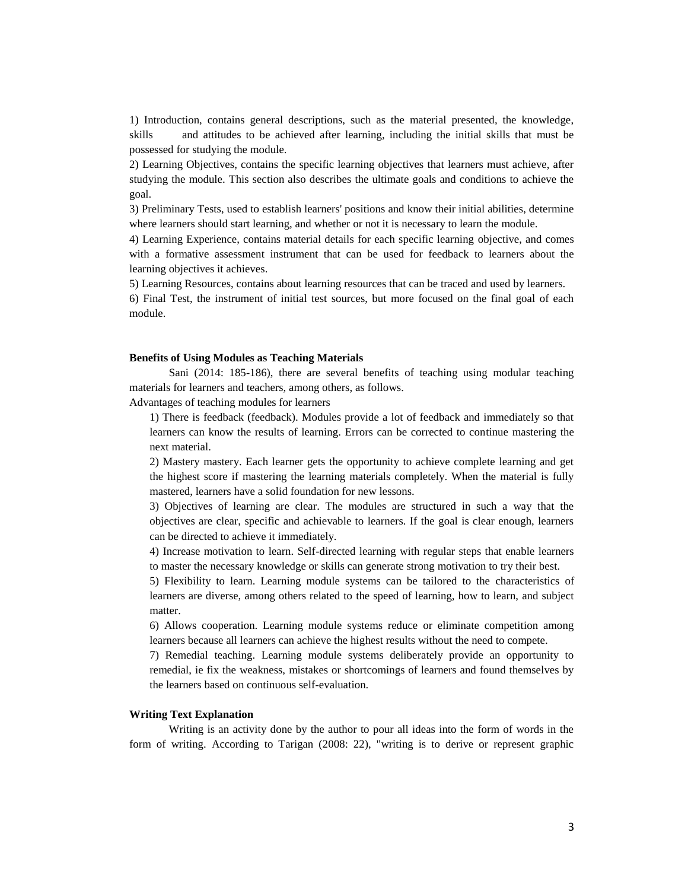1) Introduction, contains general descriptions, such as the material presented, the knowledge, skills and attitudes to be achieved after learning, including the initial skills that must be possessed for studying the module.

2) Learning Objectives, contains the specific learning objectives that learners must achieve, after studying the module. This section also describes the ultimate goals and conditions to achieve the goal.

3) Preliminary Tests, used to establish learners' positions and know their initial abilities, determine where learners should start learning, and whether or not it is necessary to learn the module.

4) Learning Experience, contains material details for each specific learning objective, and comes with a formative assessment instrument that can be used for feedback to learners about the learning objectives it achieves.

5) Learning Resources, contains about learning resources that can be traced and used by learners.

6) Final Test, the instrument of initial test sources, but more focused on the final goal of each module.

#### **Benefits of Using Modules as Teaching Materials**

 Sani (2014: 185-186), there are several benefits of teaching using modular teaching materials for learners and teachers, among others, as follows.

Advantages of teaching modules for learners

1) There is feedback (feedback). Modules provide a lot of feedback and immediately so that learners can know the results of learning. Errors can be corrected to continue mastering the next material.

2) Mastery mastery. Each learner gets the opportunity to achieve complete learning and get the highest score if mastering the learning materials completely. When the material is fully mastered, learners have a solid foundation for new lessons.

3) Objectives of learning are clear. The modules are structured in such a way that the objectives are clear, specific and achievable to learners. If the goal is clear enough, learners can be directed to achieve it immediately.

4) Increase motivation to learn. Self-directed learning with regular steps that enable learners to master the necessary knowledge or skills can generate strong motivation to try their best.

5) Flexibility to learn. Learning module systems can be tailored to the characteristics of learners are diverse, among others related to the speed of learning, how to learn, and subject matter.

6) Allows cooperation. Learning module systems reduce or eliminate competition among learners because all learners can achieve the highest results without the need to compete.

7) Remedial teaching. Learning module systems deliberately provide an opportunity to remedial, ie fix the weakness, mistakes or shortcomings of learners and found themselves by the learners based on continuous self-evaluation.

#### **Writing Text Explanation**

 Writing is an activity done by the author to pour all ideas into the form of words in the form of writing. According to Tarigan (2008: 22), "writing is to derive or represent graphic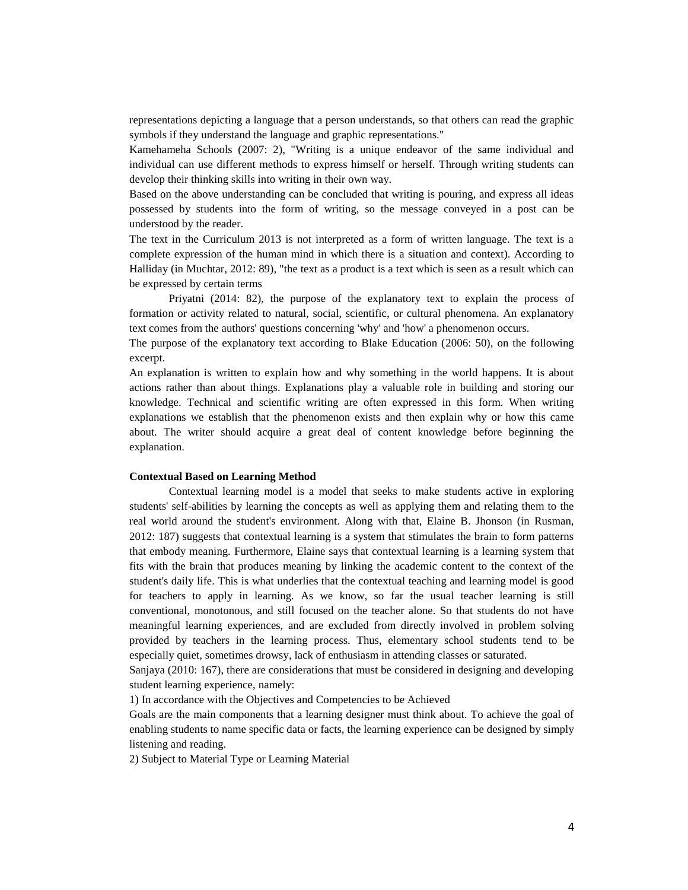representations depicting a language that a person understands, so that others can read the graphic symbols if they understand the language and graphic representations."

Kamehameha Schools (2007: 2), "Writing is a unique endeavor of the same individual and individual can use different methods to express himself or herself. Through writing students can develop their thinking skills into writing in their own way.

Based on the above understanding can be concluded that writing is pouring, and express all ideas possessed by students into the form of writing, so the message conveyed in a post can be understood by the reader.

The text in the Curriculum 2013 is not interpreted as a form of written language. The text is a complete expression of the human mind in which there is a situation and context). According to Halliday (in Muchtar, 2012: 89), "the text as a product is a text which is seen as a result which can be expressed by certain terms

 Priyatni (2014: 82), the purpose of the explanatory text to explain the process of formation or activity related to natural, social, scientific, or cultural phenomena. An explanatory text comes from the authors' questions concerning 'why' and 'how' a phenomenon occurs.

The purpose of the explanatory text according to Blake Education (2006: 50), on the following excerpt.

An explanation is written to explain how and why something in the world happens. It is about actions rather than about things. Explanations play a valuable role in building and storing our knowledge. Technical and scientific writing are often expressed in this form. When writing explanations we establish that the phenomenon exists and then explain why or how this came about. The writer should acquire a great deal of content knowledge before beginning the explanation.

## **Contextual Based on Learning Method**

 Contextual learning model is a model that seeks to make students active in exploring students' self-abilities by learning the concepts as well as applying them and relating them to the real world around the student's environment. Along with that, Elaine B. Jhonson (in Rusman, 2012: 187) suggests that contextual learning is a system that stimulates the brain to form patterns that embody meaning. Furthermore, Elaine says that contextual learning is a learning system that fits with the brain that produces meaning by linking the academic content to the context of the student's daily life. This is what underlies that the contextual teaching and learning model is good for teachers to apply in learning. As we know, so far the usual teacher learning is still conventional, monotonous, and still focused on the teacher alone. So that students do not have meaningful learning experiences, and are excluded from directly involved in problem solving provided by teachers in the learning process. Thus, elementary school students tend to be especially quiet, sometimes drowsy, lack of enthusiasm in attending classes or saturated.

Sanjaya (2010: 167), there are considerations that must be considered in designing and developing student learning experience, namely:

1) In accordance with the Objectives and Competencies to be Achieved

Goals are the main components that a learning designer must think about. To achieve the goal of enabling students to name specific data or facts, the learning experience can be designed by simply listening and reading.

2) Subject to Material Type or Learning Material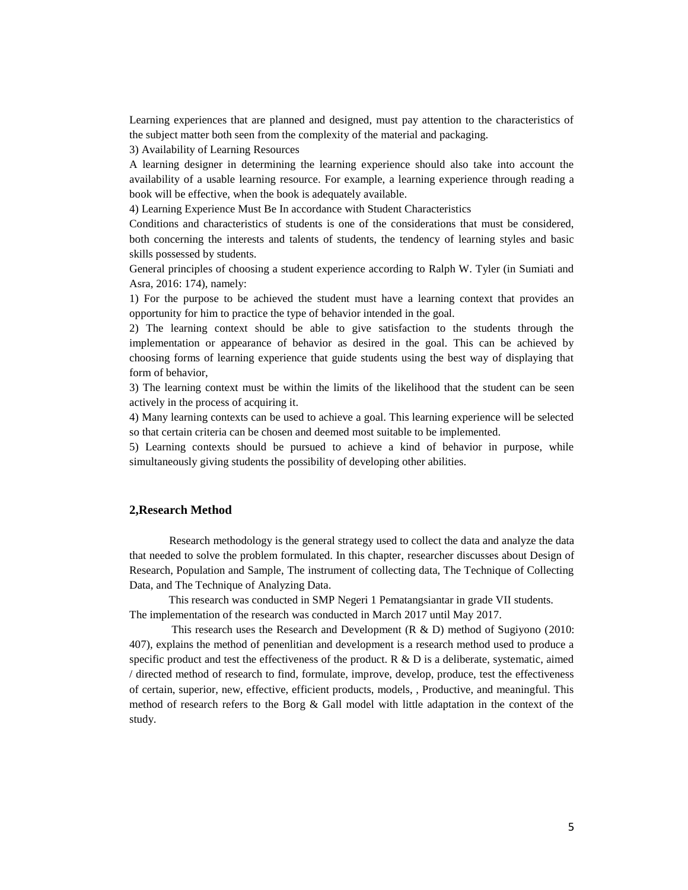Learning experiences that are planned and designed, must pay attention to the characteristics of the subject matter both seen from the complexity of the material and packaging.

3) Availability of Learning Resources

A learning designer in determining the learning experience should also take into account the availability of a usable learning resource. For example, a learning experience through reading a book will be effective, when the book is adequately available.

4) Learning Experience Must Be In accordance with Student Characteristics

Conditions and characteristics of students is one of the considerations that must be considered, both concerning the interests and talents of students, the tendency of learning styles and basic skills possessed by students.

General principles of choosing a student experience according to Ralph W. Tyler (in Sumiati and Asra, 2016: 174), namely:

1) For the purpose to be achieved the student must have a learning context that provides an opportunity for him to practice the type of behavior intended in the goal.

2) The learning context should be able to give satisfaction to the students through the implementation or appearance of behavior as desired in the goal. This can be achieved by choosing forms of learning experience that guide students using the best way of displaying that form of behavior,

3) The learning context must be within the limits of the likelihood that the student can be seen actively in the process of acquiring it.

4) Many learning contexts can be used to achieve a goal. This learning experience will be selected so that certain criteria can be chosen and deemed most suitable to be implemented.

5) Learning contexts should be pursued to achieve a kind of behavior in purpose, while simultaneously giving students the possibility of developing other abilities.

#### **2,Research Method**

Research methodology is the general strategy used to collect the data and analyze the data that needed to solve the problem formulated. In this chapter, researcher discusses about Design of Research, Population and Sample, The instrument of collecting data, The Technique of Collecting Data, and The Technique of Analyzing Data.

 This research was conducted in SMP Negeri 1 Pematangsiantar in grade VII students. The implementation of the research was conducted in March 2017 until May 2017.

 This research uses the Research and Development (R & D) method of Sugiyono (2010: 407), explains the method of penenlitian and development is a research method used to produce a specific product and test the effectiveness of the product. R  $\&$  D is a deliberate, systematic, aimed / directed method of research to find, formulate, improve, develop, produce, test the effectiveness of certain, superior, new, effective, efficient products, models, , Productive, and meaningful. This method of research refers to the Borg & Gall model with little adaptation in the context of the study.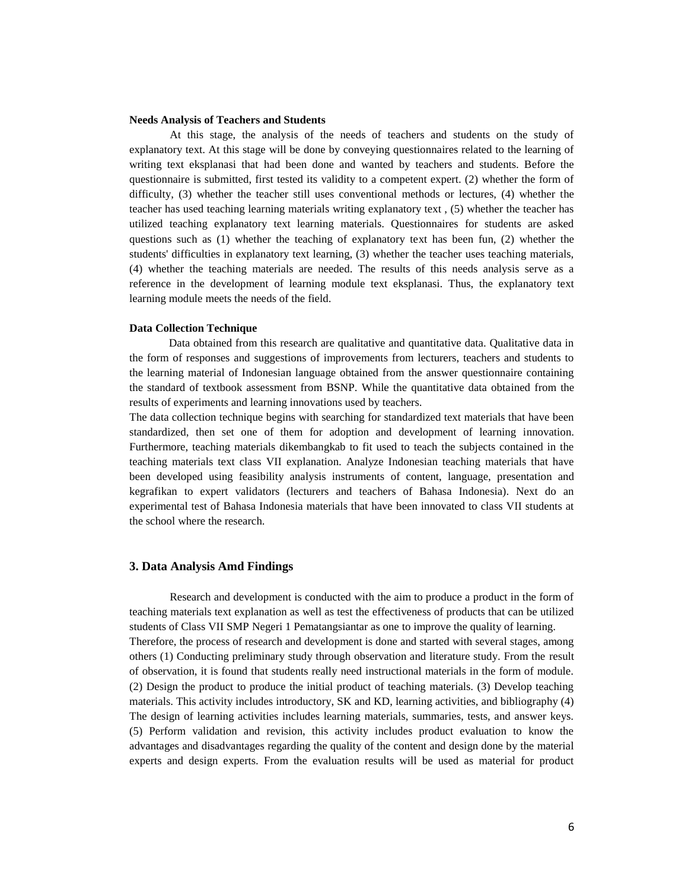### **Needs Analysis of Teachers and Students**

 At this stage, the analysis of the needs of teachers and students on the study of explanatory text. At this stage will be done by conveying questionnaires related to the learning of writing text eksplanasi that had been done and wanted by teachers and students. Before the questionnaire is submitted, first tested its validity to a competent expert. (2) whether the form of difficulty, (3) whether the teacher still uses conventional methods or lectures, (4) whether the teacher has used teaching learning materials writing explanatory text , (5) whether the teacher has utilized teaching explanatory text learning materials. Questionnaires for students are asked questions such as (1) whether the teaching of explanatory text has been fun, (2) whether the students' difficulties in explanatory text learning, (3) whether the teacher uses teaching materials, (4) whether the teaching materials are needed. The results of this needs analysis serve as a reference in the development of learning module text eksplanasi. Thus, the explanatory text learning module meets the needs of the field.

## **Data Collection Technique**

 Data obtained from this research are qualitative and quantitative data. Qualitative data in the form of responses and suggestions of improvements from lecturers, teachers and students to the learning material of Indonesian language obtained from the answer questionnaire containing the standard of textbook assessment from BSNP. While the quantitative data obtained from the results of experiments and learning innovations used by teachers.

The data collection technique begins with searching for standardized text materials that have been standardized, then set one of them for adoption and development of learning innovation. Furthermore, teaching materials dikembangkab to fit used to teach the subjects contained in the teaching materials text class VII explanation. Analyze Indonesian teaching materials that have been developed using feasibility analysis instruments of content, language, presentation and kegrafikan to expert validators (lecturers and teachers of Bahasa Indonesia). Next do an experimental test of Bahasa Indonesia materials that have been innovated to class VII students at the school where the research.

# **3. Data Analysis Amd Findings**

 Research and development is conducted with the aim to produce a product in the form of teaching materials text explanation as well as test the effectiveness of products that can be utilized students of Class VII SMP Negeri 1 Pematangsiantar as one to improve the quality of learning. Therefore, the process of research and development is done and started with several stages, among others (1) Conducting preliminary study through observation and literature study. From the result of observation, it is found that students really need instructional materials in the form of module. (2) Design the product to produce the initial product of teaching materials. (3) Develop teaching materials. This activity includes introductory, SK and KD, learning activities, and bibliography (4) The design of learning activities includes learning materials, summaries, tests, and answer keys. (5) Perform validation and revision, this activity includes product evaluation to know the advantages and disadvantages regarding the quality of the content and design done by the material experts and design experts. From the evaluation results will be used as material for product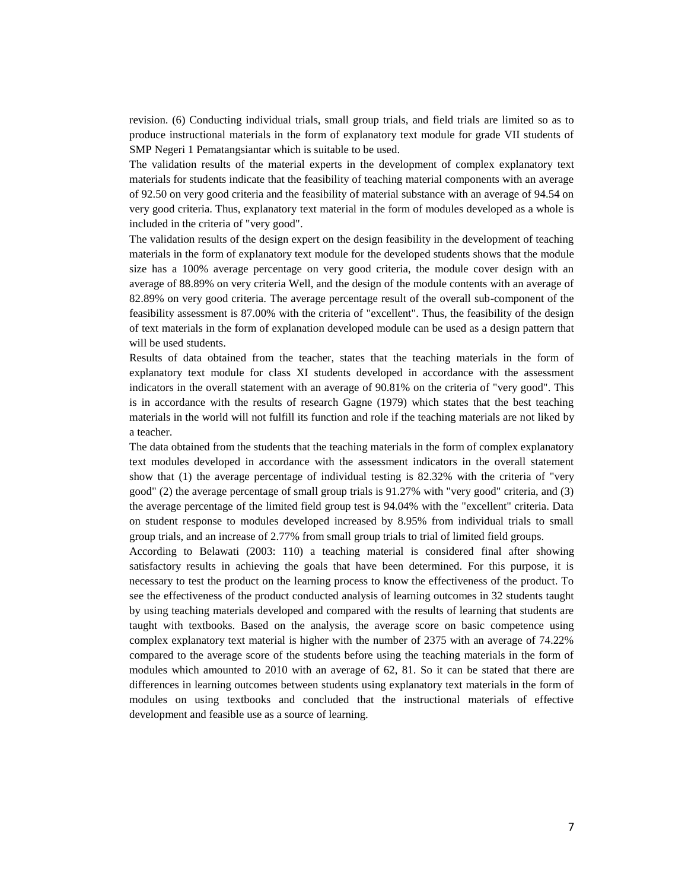revision. (6) Conducting individual trials, small group trials, and field trials are limited so as to produce instructional materials in the form of explanatory text module for grade VII students of SMP Negeri 1 Pematangsiantar which is suitable to be used.

The validation results of the material experts in the development of complex explanatory text materials for students indicate that the feasibility of teaching material components with an average of 92.50 on very good criteria and the feasibility of material substance with an average of 94.54 on very good criteria. Thus, explanatory text material in the form of modules developed as a whole is included in the criteria of "very good".

The validation results of the design expert on the design feasibility in the development of teaching materials in the form of explanatory text module for the developed students shows that the module size has a 100% average percentage on very good criteria, the module cover design with an average of 88.89% on very criteria Well, and the design of the module contents with an average of 82.89% on very good criteria. The average percentage result of the overall sub-component of the feasibility assessment is 87.00% with the criteria of "excellent". Thus, the feasibility of the design of text materials in the form of explanation developed module can be used as a design pattern that will be used students.

Results of data obtained from the teacher, states that the teaching materials in the form of explanatory text module for class XI students developed in accordance with the assessment indicators in the overall statement with an average of 90.81% on the criteria of "very good". This is in accordance with the results of research Gagne (1979) which states that the best teaching materials in the world will not fulfill its function and role if the teaching materials are not liked by a teacher.

The data obtained from the students that the teaching materials in the form of complex explanatory text modules developed in accordance with the assessment indicators in the overall statement show that (1) the average percentage of individual testing is 82.32% with the criteria of "very good" (2) the average percentage of small group trials is 91.27% with "very good" criteria, and (3) the average percentage of the limited field group test is 94.04% with the "excellent" criteria. Data on student response to modules developed increased by 8.95% from individual trials to small group trials, and an increase of 2.77% from small group trials to trial of limited field groups.

According to Belawati (2003: 110) a teaching material is considered final after showing satisfactory results in achieving the goals that have been determined. For this purpose, it is necessary to test the product on the learning process to know the effectiveness of the product. To see the effectiveness of the product conducted analysis of learning outcomes in 32 students taught by using teaching materials developed and compared with the results of learning that students are taught with textbooks. Based on the analysis, the average score on basic competence using complex explanatory text material is higher with the number of 2375 with an average of 74.22% compared to the average score of the students before using the teaching materials in the form of modules which amounted to 2010 with an average of 62, 81. So it can be stated that there are differences in learning outcomes between students using explanatory text materials in the form of modules on using textbooks and concluded that the instructional materials of effective development and feasible use as a source of learning.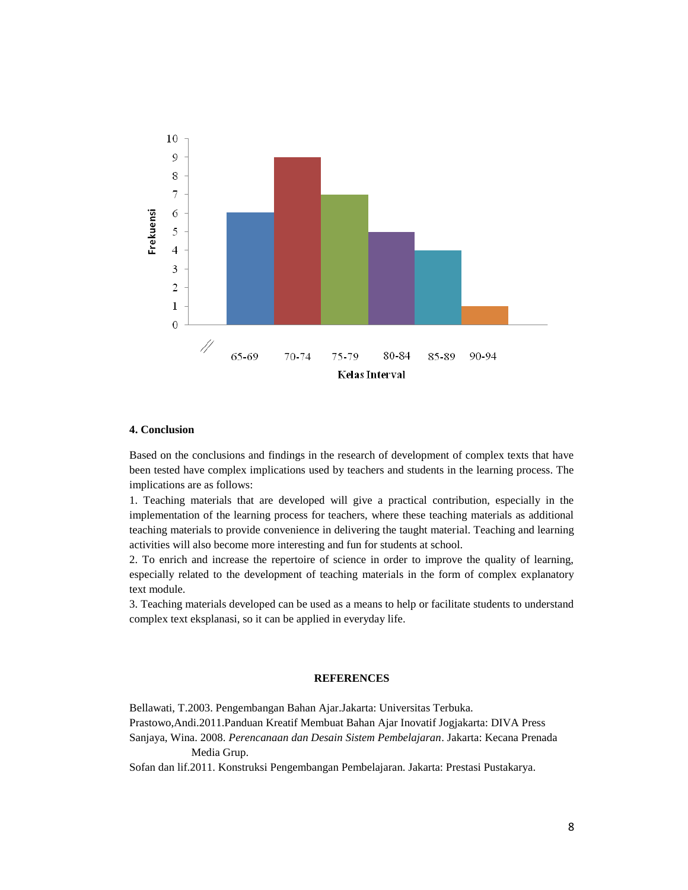

## **4. Conclusion**

Based on the conclusions and findings in the research of development of complex texts that have been tested have complex implications used by teachers and students in the learning process. The implications are as follows:

1. Teaching materials that are developed will give a practical contribution, especially in the implementation of the learning process for teachers, where these teaching materials as additional teaching materials to provide convenience in delivering the taught material. Teaching and learning activities will also become more interesting and fun for students at school.

2. To enrich and increase the repertoire of science in order to improve the quality of learning, especially related to the development of teaching materials in the form of complex explanatory text module.

3. Teaching materials developed can be used as a means to help or facilitate students to understand complex text eksplanasi, so it can be applied in everyday life.

#### **REFERENCES**

Bellawati, T.2003. Pengembangan Bahan Ajar.Jakarta: Universitas Terbuka. Prastowo,Andi.2011.Panduan Kreatif Membuat Bahan Ajar Inovatif Jogjakarta: DIVA Press Sanjaya, Wina. 2008. *Perencanaan dan Desain Sistem Pembelajaran*. Jakarta: Kecana Prenada Media Grup.

Sofan dan lif.2011. Konstruksi Pengembangan Pembelajaran. Jakarta: Prestasi Pustakarya.